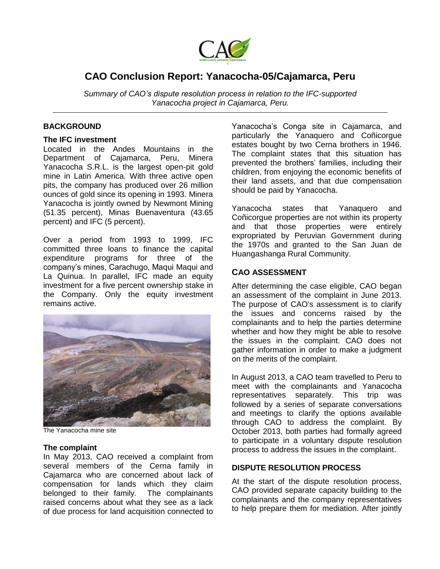

# **CAO Conclusion Report: Yanacocha-05/Cajamarca, Peru**

*Summary of CAO's dispute resolution process in relation to the IFC-supported Yanacocha project in Cajamarca, Peru.* 

## **BACKGROUND**

### **The IFC investment**

Located in the Andes Mountains in the Department of Cajamarca, Peru, Minera Yanacocha S.R.L. is the largest open-pit gold mine in Latin America. With three active open pits, the company has produced over 26 million ounces of gold since its opening in 1993. Minera Yanacocha is jointly owned by Newmont Mining (51.35 percent), Minas Buenaventura (43.65 percent) and IFC (5 percent).

Over a period from 1993 to 1999, IFC committed three loans to finance the capital expenditure programs for three of the company's mines, Carachugo, Maqui Maqui and La Quinua. In parallel, IFC made an equity investment for a five percent ownership stake in the Company. Only the equity investment remains active.



The Yanacocha mine site

## **The complaint**

In May 2013, CAO received a complaint from several members of the Cerna family in Cajamarca who are concerned about lack of compensation for lands which they claim belonged to their family. The complainants raised concerns about what they see as a lack of due process for land acquisition connected to Yanacocha's Conga site in Cajamarca, and particularly the Yanaquero and Coñicorgue estates bought by two Cerna brothers in 1946. The complaint states that this situation has prevented the brothers' families, including their children, from enjoying the economic benefits of their land assets, and that due compensation should be paid by Yanacocha.

Yanacocha states that Yanaquero and Coñicorgue properties are not within its property and that those properties were entirely expropriated by Peruvian Government during the 1970s and granted to the San Juan de Huangashanga Rural Community.

# **CAO ASSESSMENT**

After determining the case eligible, CAO began an assessment of the complaint in June 2013. The purpose of CAO's assessment is to clarify the issues and concerns raised by the complainants and to help the parties determine whether and how they might be able to resolve the issues in the complaint. CAO does not gather information in order to make a judgment on the merits of the complaint.

In August 2013, a CAO team travelled to Peru to meet with the complainants and Yanacocha representatives separately. This trip was followed by a series of separate conversations and meetings to clarify the options available through CAO to address the complaint. By October 2013, both parties had formally agreed to participate in a voluntary dispute resolution process to address the issues in the complaint.

# **DISPUTE RESOLUTION PROCESS**

At the start of the dispute resolution process, CAO provided separate capacity building to the complainants and the company representatives to help prepare them for mediation. After jointly